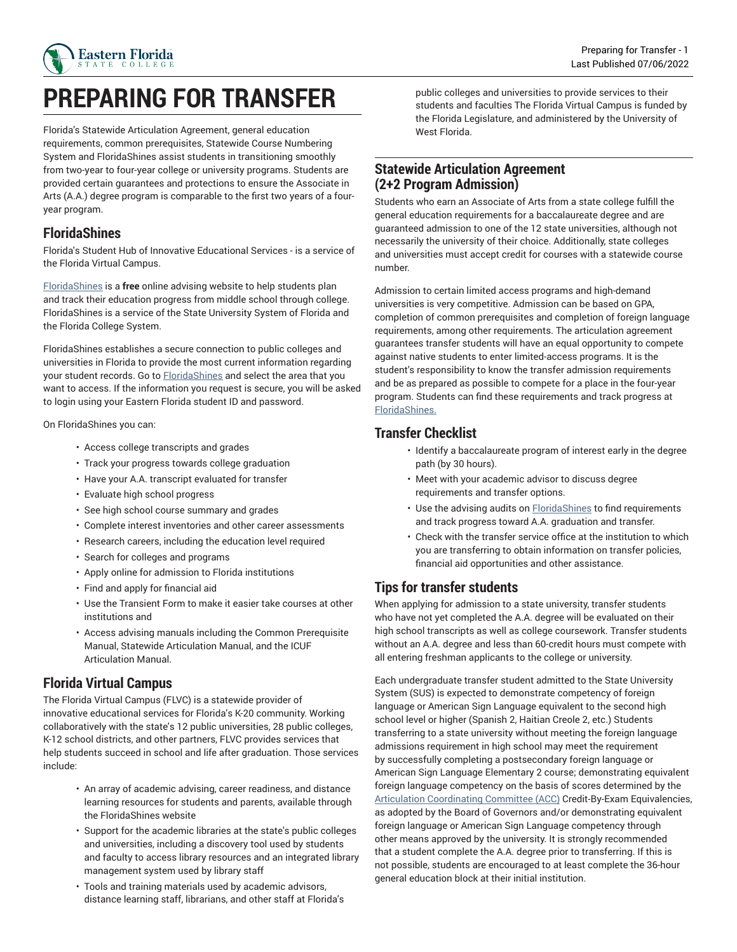

# **PREPARING FOR TRANSFER**

Florida's Statewide Articulation Agreement, general education requirements, common prerequisites, Statewide Course Numbering System and FloridaShines assist students in transitioning smoothly from two-year to four-year college or university programs. Students are provided certain guarantees and protections to ensure the Associate in Arts (A.A.) degree program is comparable to the first two years of a fouryear program.

#### **FloridaShines**

Florida's Student Hub of Innovative Educational Services - is a service of the Florida Virtual Campus.

[FloridaShines](https://www.floridashines.org) is a **free** online advising website to help students plan and track their education progress from middle school through college. FloridaShines is a service of the State University System of Florida and the Florida College System.

FloridaShines establishes a secure connection to public colleges and universities in Florida to provide the most current information regarding your student records. Go to **[FloridaShines](https://www.floridashines.org)** and select the area that you want to access. If the information you request is secure, you will be asked to login using your Eastern Florida student ID and password.

On FloridaShines you can:

- Access college transcripts and grades
- Track your progress towards college graduation
- Have your A.A. transcript evaluated for transfer
- Evaluate high school progress
- See high school course summary and grades
- Complete interest inventories and other career assessments
- Research careers, including the education level required
- Search for colleges and programs
- Apply online for admission to Florida institutions
- Find and apply for financial aid
- Use the Transient Form to make it easier take courses at other institutions and
- Access advising manuals including the Common Prerequisite Manual, Statewide Articulation Manual, and the ICUF Articulation Manual.

#### **Florida Virtual Campus**

The Florida Virtual Campus (FLVC) is a statewide provider of innovative educational services for Florida's K-20 community. Working collaboratively with the state's 12 public universities, 28 public colleges, K-12 school districts, and other partners, FLVC provides services that help students succeed in school and life after graduation. Those services include:

- An array of academic advising, career readiness, and distance learning resources for students and parents, available through the FloridaShines website
- Support for the academic libraries at the state's public colleges and universities, including a discovery tool used by students and faculty to access library resources and an integrated library management system used by library staff
- Tools and training materials used by academic advisors, distance learning staff, librarians, and other staff at Florida's

public colleges and universities to provide services to their students and faculties The Florida Virtual Campus is funded by the Florida Legislature, and administered by the University of West Florida.

### **Statewide Articulation Agreement (2+2 Program Admission)**

Students who earn an Associate of Arts from a state college fulfill the general education requirements for a baccalaureate degree and are guaranteed admission to one of the 12 state universities, although not necessarily the university of their choice. Additionally, state colleges and universities must accept credit for courses with a statewide course number.

Admission to certain limited access programs and high-demand universities is very competitive. Admission can be based on GPA, completion of common prerequisites and completion of foreign language requirements, among other requirements. The articulation agreement guarantees transfer students will have an equal opportunity to compete against native students to enter limited-access programs. It is the student's responsibility to know the transfer admission requirements and be as prepared as possible to compete for a place in the four-year program. Students can find these requirements and track progress at [FloridaShines.](http://floridashines.org)

### **Transfer Checklist**

- Identify a baccalaureate program of interest early in the degree path (by 30 hours).
- Meet with your academic advisor to discuss degree requirements and transfer options.
- Use the advising audits on **FloridaShines** to find requirements and track progress toward A.A. graduation and transfer.
- Check with the transfer service office at the institution to which you are transferring to obtain information on transfer policies, financial aid opportunities and other assistance.

# **Tips for transfer students**

When applying for admission to a state university, transfer students who have not yet completed the A.A. degree will be evaluated on their high school transcripts as well as college coursework. Transfer students without an A.A. degree and less than 60-credit hours must compete with all entering freshman applicants to the college or university.

Each undergraduate transfer student admitted to the State University System (SUS) is expected to demonstrate competency of foreign language or American Sign Language equivalent to the second high school level or higher (Spanish 2, Haitian Creole 2, etc.) Students transferring to a state university without meeting the foreign language admissions requirement in high school may meet the requirement by successfully completing a postsecondary foreign language or American Sign Language Elementary 2 course; demonstrating equivalent foreign language competency on the basis of scores determined by the Articulation [Coordinating](https://www.fldoe.org/policy/articulation/) Committee (ACC) Credit-By-Exam Equivalencies, as adopted by the Board of Governors and/or demonstrating equivalent foreign language or American Sign Language competency through other means approved by the university. It is strongly recommended that a student complete the A.A. degree prior to transferring. If this is not possible, students are encouraged to at least complete the 36-hour general education block at their initial institution.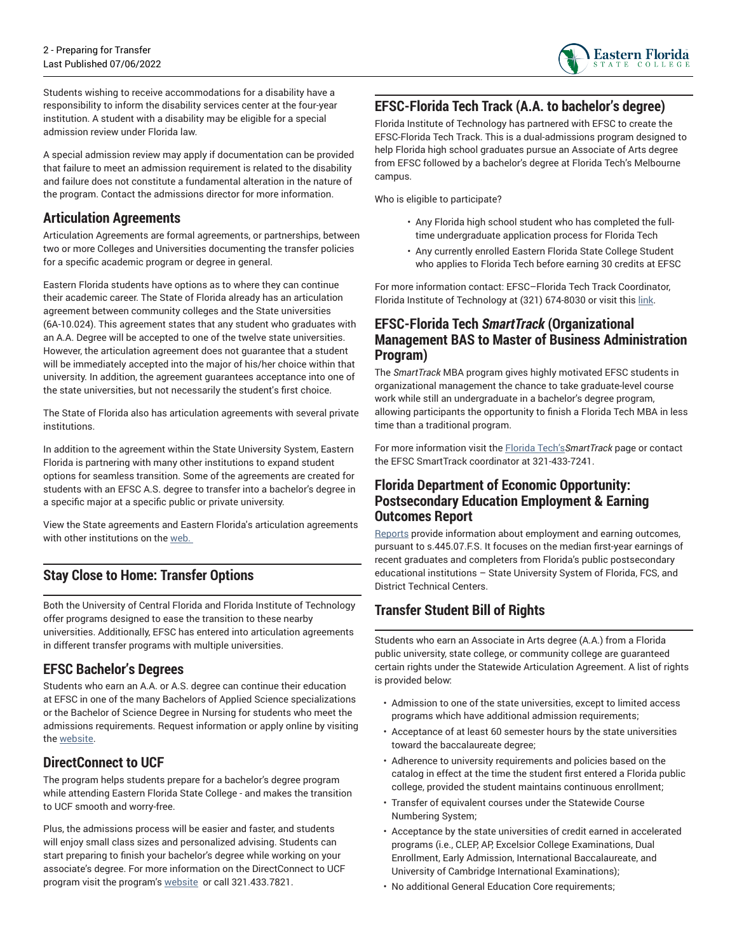

Students wishing to receive accommodations for a disability have a responsibility to inform the disability services center at the four-year institution. A student with a disability may be eligible for a special admission review under Florida law.

A special admission review may apply if documentation can be provided that failure to meet an admission requirement is related to the disability and failure does not constitute a fundamental alteration in the nature of the program. Contact the admissions director for more information.

#### **Articulation Agreements**

Articulation Agreements are formal agreements, or partnerships, between two or more Colleges and Universities documenting the transfer policies for a specific academic program or degree in general.

Eastern Florida students have options as to where they can continue their academic career. The State of Florida already has an articulation agreement between community colleges and the State universities (6A-10.024). This agreement states that any student who graduates with an A.A. Degree will be accepted to one of the twelve state universities. However, the articulation agreement does not guarantee that a student will be immediately accepted into the major of his/her choice within that university. In addition, the agreement guarantees acceptance into one of the state universities, but not necessarily the student's first choice.

The State of Florida also has articulation agreements with several private institutions.

In addition to the agreement within the State University System, Eastern Florida is partnering with many other institutions to expand student options for seamless transition. Some of the agreements are created for students with an EFSC A.S. degree to transfer into a bachelor's degree in a specific major at a specific public or private university.

View the State agreements and Eastern Florida's articulation agreements with other institutions on the [web.](https://www.easternflorida.edu/admissions/registrars-office/credit-evaluation/articulation-agreements.cfm) 

# **Stay Close to Home: Transfer Options**

Both the University of Central Florida and Florida Institute of Technology offer programs designed to ease the transition to these nearby universities. Additionally, EFSC has entered into articulation agreements in different transfer programs with multiple universities.

#### **EFSC Bachelor's Degrees**

Students who earn an A.A. or A.S. degree can continue their education at EFSC in one of the many Bachelors of Applied Science specializations or the Bachelor of Science Degree in Nursing for students who meet the admissions requirements. Request information or apply online by visiting the [website](https://www.easternflorida.edu/academics/bachelors-degrees/).

# **DirectConnect to UCF**

The program helps students prepare for a bachelor's degree program while attending Eastern Florida State College - and makes the transition to UCF smooth and worry-free.

Plus, the admissions process will be easier and faster, and students will enjoy small class sizes and personalized advising. Students can start preparing to finish your bachelor's degree while working on your associate's degree. For more information on the DirectConnect to UCF program visit the program's [website](http://regionalcampuses.ucf.edu/directconnect/)  or call 321.433.7821.

## **EFSC-Florida Tech Track (A.A. to bachelor's degree)**

Florida Institute of Technology has partnered with EFSC to create the EFSC-Florida Tech Track. This is a dual-admissions program designed to help Florida high school graduates pursue an Associate of Arts degree from EFSC followed by a bachelor's degree at Florida Tech's Melbourne campus.

Who is eligible to participate?

- Any Florida high school student who has completed the fulltime undergraduate application process for Florida Tech
- Any currently enrolled Eastern Florida State College Student who applies to Florida Tech before earning 30 credits at EFSC

For more information contact: EFSC–Florida Tech Track Coordinator, Florida Institute of Technology at (321) 674-8030 or visit this [link](https://www.easternflorida.edu/admissions/guaranteed-transfer.cfm).

#### **EFSC-Florida Tech** *SmartTrack* **(Organizational Management BAS to Master of Business Administration Program)**

The *SmartTrack* MBA program gives highly motivated EFSC students in organizational management the chance to take graduate-level course work while still an undergraduate in a bachelor's degree program, allowing participants the opportunity to finish a Florida Tech MBA in less time than a traditional program.

For more information visit the [Florida](https://www.fit.edu/graduate-admissions/smarttrack-mba/) Tech's*SmartTrack* page or contact the EFSC SmartTrack coordinator at 321-433-7241.

#### **Florida Department of Economic Opportunity: Postsecondary Education Employment & Earning Outcomes Report**

[Reports](https://www.fldoe.org/schools/higher-ed/fl-college-system/data-reports/transparency-accountability.stml) provide information about employment and earning outcomes, pursuant to s.445.07.F.S. It focuses on the median first-year earnings of recent graduates and completers from Florida's public postsecondary educational institutions – State University System of Florida, FCS, and District Technical Centers.

# **Transfer Student Bill of Rights**

Students who earn an Associate in Arts degree (A.A.) from a Florida public university, state college, or community college are guaranteed certain rights under the Statewide Articulation Agreement. A list of rights is provided below:

- Admission to one of the state universities, except to limited access programs which have additional admission requirements;
- Acceptance of at least 60 semester hours by the state universities toward the baccalaureate degree;
- Adherence to university requirements and policies based on the catalog in effect at the time the student first entered a Florida public college, provided the student maintains continuous enrollment;
- Transfer of equivalent courses under the Statewide Course Numbering System;
- Acceptance by the state universities of credit earned in accelerated programs (i.e., CLEP, AP, Excelsior College Examinations, Dual Enrollment, Early Admission, International Baccalaureate, and University of Cambridge International Examinations);
- No additional General Education Core requirements;